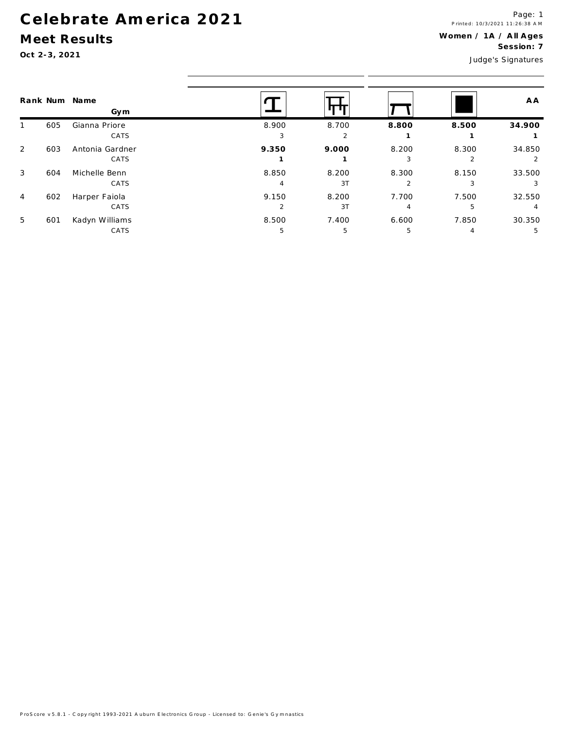## Celebrate America 2021

## Meet Results

Oct 2-3, 2021

|   |     | Rank Num Name<br>Gym |                |       |       |       | A A    |  |  |
|---|-----|----------------------|----------------|-------|-------|-------|--------|--|--|
|   | 605 | Gianna Priore        | 8.900          | 8.700 | 8.800 | 8.500 | 34.900 |  |  |
|   |     | CATS                 | 3              | 2     |       |       |        |  |  |
| 2 | 603 | Antonia Gardner      | 9.350          | 9.000 | 8.200 | 8.300 | 34.850 |  |  |
|   |     | CATS                 |                |       | 3     |       |        |  |  |
| 3 | 604 | Michelle Benn        | 8.850          | 8.200 | 8.300 | 8.150 | 33.500 |  |  |
|   |     | CATS                 |                | 3T    |       | 3     |        |  |  |
| 4 | 602 | Harper Faiola        | 9.150          | 8.200 | 7.700 | 7.500 | 32.550 |  |  |
|   |     | CATS                 | $\mathfrak{p}$ | 3T    | 4     | 5     | 4      |  |  |
| 5 | 601 | Kadyn Williams       | 8.500          | 7.400 | 6.600 | 7.850 | 30.350 |  |  |
|   |     | CATS                 | 5              | -5    | 5     | 4     | 5      |  |  |